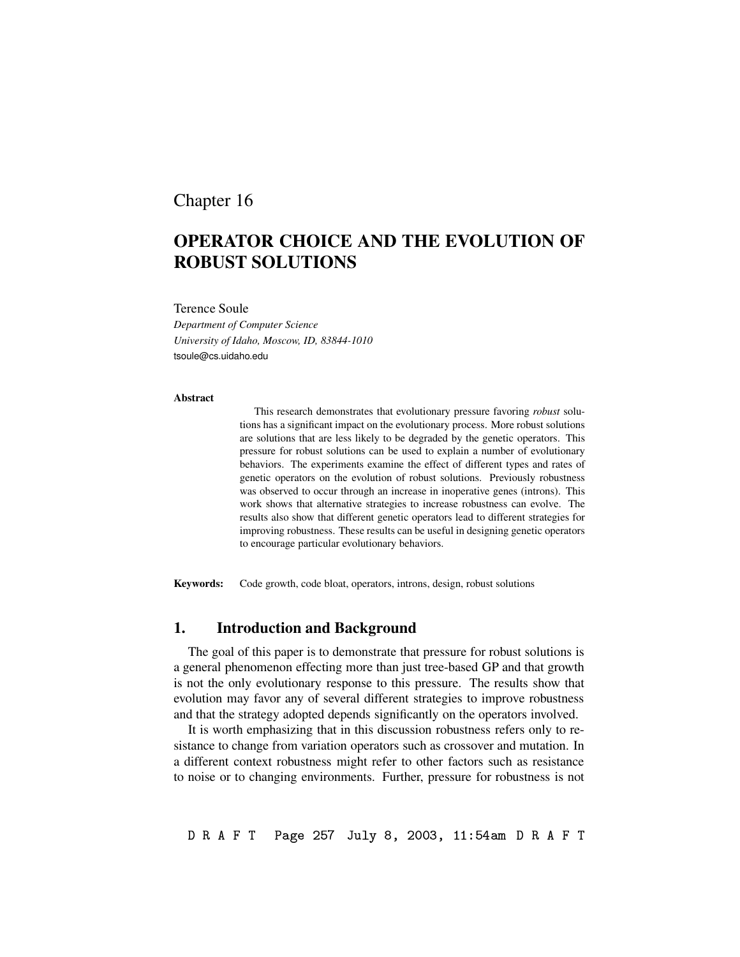## Chapter 16

# **OPERATOR CHOICE AND THE EVOLUTION OF ROBUST SOLUTIONS**

Terence Soule

*Department of Computer Science University of Idaho, Moscow, ID, 83844-1010* tsoule@cs.uidaho.edu

#### **Abstract**

This research demonstrates that evolutionary pressure favoring *robust* solutions has a significant impact on the evolutionary process. More robust solutions are solutions that are less likely to be degraded by the genetic operators. This pressure for robust solutions can be used to explain a number of evolutionary behaviors. The experiments examine the effect of different types and rates of genetic operators on the evolution of robust solutions. Previously robustness was observed to occur through an increase in inoperative genes (introns). This work shows that alternative strategies to increase robustness can evolve. The results also show that different genetic operators lead to different strategies for improving robustness. These results can be useful in designing genetic operators to encourage particular evolutionary behaviors.

**Keywords:** Code growth, code bloat, operators, introns, design, robust solutions

## **1. Introduction and Background**

The goal of this paper is to demonstrate that pressure for robust solutions is a general phenomenon effecting more than just tree-based GP and that growth is not the only evolutionary response to this pressure. The results show that evolution may favor any of several different strategies to improve robustness and that the strategy adopted depends significantly on the operators involved.

It is worth emphasizing that in this discussion robustness refers only to resistance to change from variation operators such as crossover and mutation. In a different context robustness might refer to other factors such as resistance to noise or to changing environments. Further, pressure for robustness is not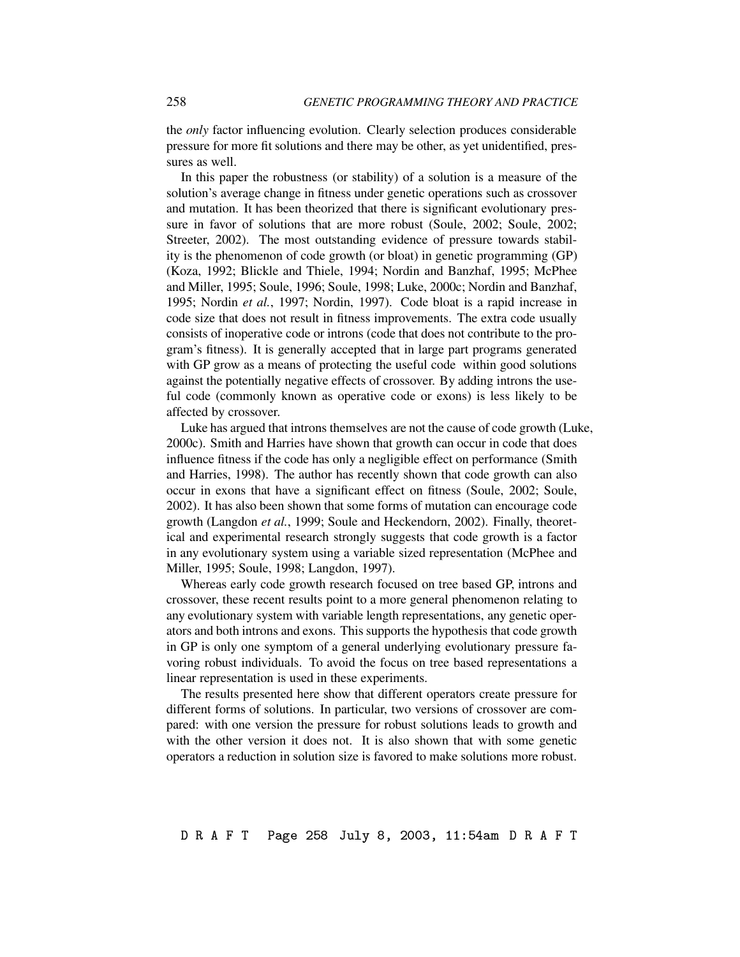the *only* factor influencing evolution. Clearly selection produces considerable pressure for more fit solutions and there may be other, as yet unidentified, pressures as well.

In this paper the robustness (or stability) of a solution is a measure of the solution's average change in fitness under genetic operations such as crossover and mutation. It has been theorized that there is significant evolutionary pressure in favor of solutions that are more robust (Soule, 2002; Soule, 2002; Streeter, 2002). The most outstanding evidence of pressure towards stability is the phenomenon of code growth (or bloat) in genetic programming (GP) (Koza, 1992; Blickle and Thiele, 1994; Nordin and Banzhaf, 1995; McPhee and Miller, 1995; Soule, 1996; Soule, 1998; Luke, 2000c; Nordin and Banzhaf, 1995; Nordin *et al.*, 1997; Nordin, 1997). Code bloat is a rapid increase in code size that does not result in fitness improvements. The extra code usually consists of inoperative code or introns (code that does not contribute to the program's fitness). It is generally accepted that in large part programs generated with GP grow as a means of protecting the useful code within good solutions against the potentially negative effects of crossover. By adding introns the useful code (commonly known as operative code or exons) is less likely to be affected by crossover.

Luke has argued that introns themselves are not the cause of code growth (Luke, 2000c). Smith and Harries have shown that growth can occur in code that does influence fitness if the code has only a negligible effect on performance (Smith and Harries, 1998). The author has recently shown that code growth can also occur in exons that have a significant effect on fitness (Soule, 2002; Soule, 2002). It has also been shown that some forms of mutation can encourage code growth (Langdon *et al.*, 1999; Soule and Heckendorn, 2002). Finally, theoretical and experimental research strongly suggests that code growth is a factor in any evolutionary system using a variable sized representation (McPhee and Miller, 1995; Soule, 1998; Langdon, 1997).

Whereas early code growth research focused on tree based GP, introns and crossover, these recent results point to a more general phenomenon relating to any evolutionary system with variable length representations, any genetic operators and both introns and exons. This supports the hypothesis that code growth in GP is only one symptom of a general underlying evolutionary pressure favoring robust individuals. To avoid the focus on tree based representations a linear representation is used in these experiments.

The results presented here show that different operators create pressure for different forms of solutions. In particular, two versions of crossover are compared: with one version the pressure for robust solutions leads to growth and with the other version it does not. It is also shown that with some genetic operators a reduction in solution size is favored to make solutions more robust.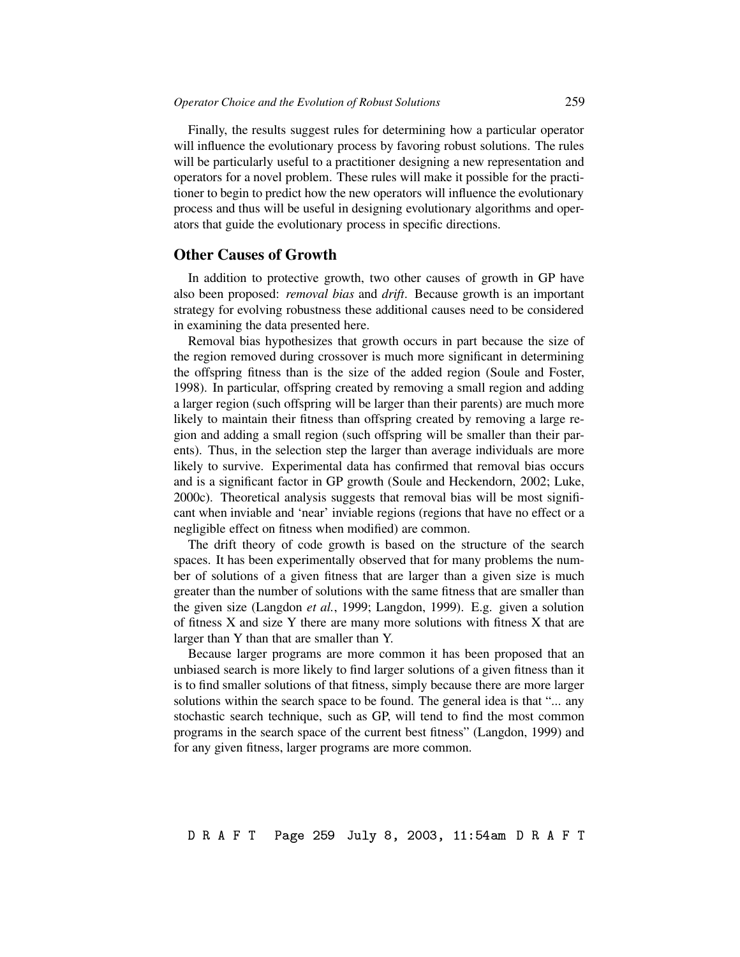Finally, the results suggest rules for determining how a particular operator will influence the evolutionary process by favoring robust solutions. The rules will be particularly useful to a practitioner designing a new representation and operators for a novel problem. These rules will make it possible for the practitioner to begin to predict how the new operators will influence the evolutionary process and thus will be useful in designing evolutionary algorithms and operators that guide the evolutionary process in specific directions.

#### **Other Causes of Growth**

In addition to protective growth, two other causes of growth in GP have also been proposed: *removal bias* and *drift*. Because growth is an important strategy for evolving robustness these additional causes need to be considered in examining the data presented here.

Removal bias hypothesizes that growth occurs in part because the size of the region removed during crossover is much more significant in determining the offspring fitness than is the size of the added region (Soule and Foster, 1998). In particular, offspring created by removing a small region and adding a larger region (such offspring will be larger than their parents) are much more likely to maintain their fitness than offspring created by removing a large region and adding a small region (such offspring will be smaller than their parents). Thus, in the selection step the larger than average individuals are more likely to survive. Experimental data has confirmed that removal bias occurs and is a significant factor in GP growth (Soule and Heckendorn, 2002; Luke, 2000c). Theoretical analysis suggests that removal bias will be most significant when inviable and 'near' inviable regions (regions that have no effect or a negligible effect on fitness when modified) are common.

The drift theory of code growth is based on the structure of the search spaces. It has been experimentally observed that for many problems the number of solutions of a given fitness that are larger than a given size is much greater than the number of solutions with the same fitness that are smaller than the given size (Langdon *et al.*, 1999; Langdon, 1999). E.g. given a solution of fitness X and size Y there are many more solutions with fitness X that are larger than Y than that are smaller than Y.

Because larger programs are more common it has been proposed that an unbiased search is more likely to find larger solutions of a given fitness than it is to find smaller solutions of that fitness, simply because there are more larger solutions within the search space to be found. The general idea is that "... any stochastic search technique, such as GP, will tend to find the most common programs in the search space of the current best fitness" (Langdon, 1999) and for any given fitness, larger programs are more common.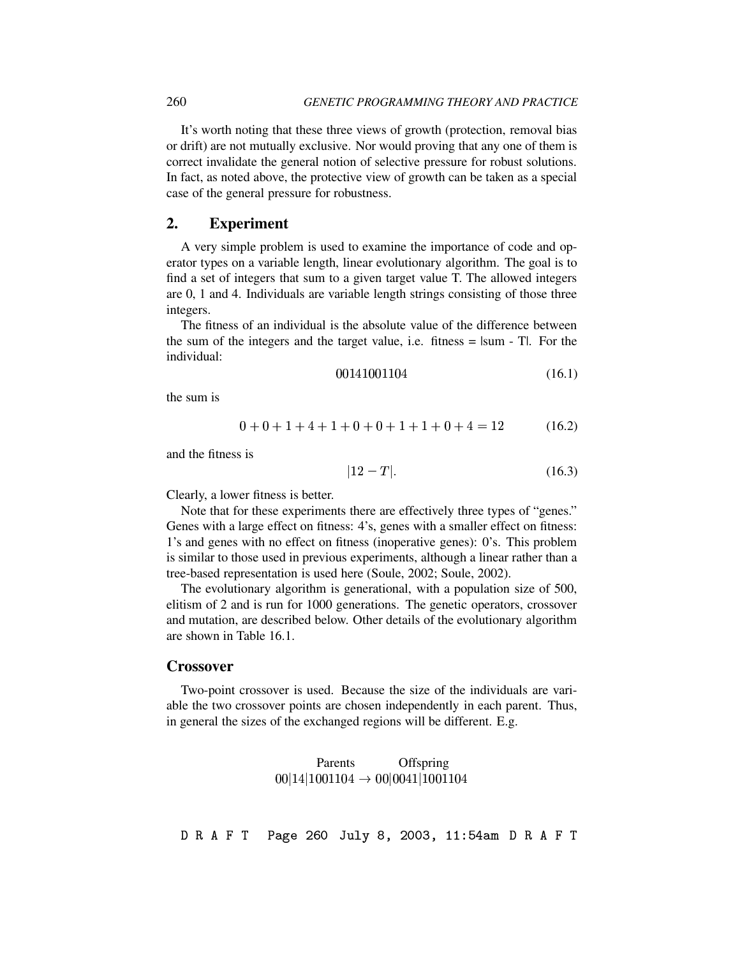It's worth noting that these three views of growth (protection, removal bias or drift) are not mutually exclusive. Nor would proving that any one of them is correct invalidate the general notion of selective pressure for robust solutions. In fact, as noted above, the protective view of growth can be taken as a special case of the general pressure for robustness.

#### **2. Experiment**

A very simple problem is used to examine the importance of code and operator types on a variable length, linear evolutionary algorithm. The goal is to find a set of integers that sum to a given target value T. The allowed integers are 0, 1 and 4. Individuals are variable length strings consisting of those three integers.

The fitness of an individual is the absolute value of the difference between the sum of the integers and the target value, i.e. fitness  $=$  |sum  $-$  T|. For the individual:

$$
00141001104 \t(16.1)
$$

the sum is

$$
0+0+1+4+1+0+0+1+1+0+4=12 \tag{16.2}
$$

and the fitness is

$$
|12 - T|.\tag{16.3}
$$

Clearly, a lower fitness is better.

Note that for these experiments there are effectively three types of "genes." Genes with a large effect on fitness: 4's, genes with a smaller effect on fitness: 1's and genes with no effect on fitness (inoperative genes): 0's. This problem is similar to those used in previous experiments, although a linear rather than a tree-based representation is used here (Soule, 2002; Soule, 2002).

The evolutionary algorithm is generational, with a population size of 500, elitism of 2 and is run for 1000 generations. The genetic operators, crossover and mutation, are described below. Other details of the evolutionary algorithm are shown in Table 16.1.

## **Crossover**

Two-point crossover is used. Because the size of the individuals are variable the two crossover points are chosen independently in each parent. Thus, in general the sizes of the exchanged regions will be different. E.g.

> Parents Offspring  $60|14|1001104 \rightarrow 00|0041|1001104$

- - - - - -"@'! .1
\$ "!'!
#&%"%4(5\*, -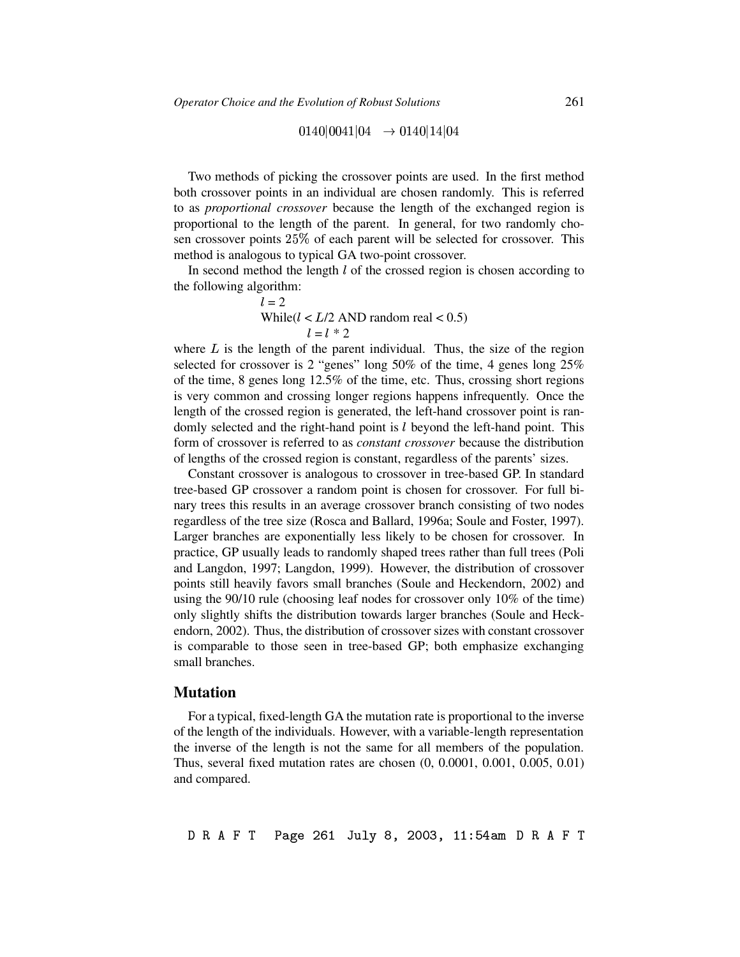## $0140|0041|04 \rightarrow 0140|14|04$

Two methods of picking the crossover points are used. In the first method both crossover points in an individual are chosen randomly. This is referred to as *proportional crossover* because the length of the exchanged region is proportional to the length of the parent. In general, for two randomly chosen crossover points  $25\%$  of each parent will be selected for crossover. This method is analogous to typical GA two-point crossover.

In second method the length  $l$  of the crossed region is chosen according to the following algorithm:

$$
l = 2
$$
  
While( $l < L/2$  AND random real < 0.5)  

$$
l = l * 2
$$

where  $L$  is the length of the parent individual. Thus, the size of the region selected for crossover is 2 "genes" long 50% of the time, 4 genes long 25% of the time, 8 genes long 12.5% of the time, etc. Thus, crossing short regions is very common and crossing longer regions happens infrequently. Once the length of the crossed region is generated, the left-hand crossover point is randomly selected and the right-hand point is  $l$  beyond the left-hand point. This form of crossover is referred to as *constant crossover* because the distribution of lengths of the crossed region is constant, regardless of the parents' sizes.

Constant crossover is analogous to crossover in tree-based GP. In standard tree-based GP crossover a random point is chosen for crossover. For full binary trees this results in an average crossover branch consisting of two nodes regardless of the tree size (Rosca and Ballard, 1996a; Soule and Foster, 1997). Larger branches are exponentially less likely to be chosen for crossover. In practice, GP usually leads to randomly shaped trees rather than full trees (Poli and Langdon, 1997; Langdon, 1999). However, the distribution of crossover points still heavily favors small branches (Soule and Heckendorn, 2002) and using the 90/10 rule (choosing leaf nodes for crossover only 10% of the time) only slightly shifts the distribution towards larger branches (Soule and Heckendorn, 2002). Thus, the distribution of crossover sizes with constant crossover is comparable to those seen in tree-based GP; both emphasize exchanging small branches.

#### **Mutation**

For a typical, fixed-length GA the mutation rate is proportional to the inverse of the length of the individuals. However, with a variable-length representation the inverse of the length is not the same for all members of the population. Thus, several fixed mutation rates are chosen (0, 0.0001, 0.001, 0.005, 0.01) and compared.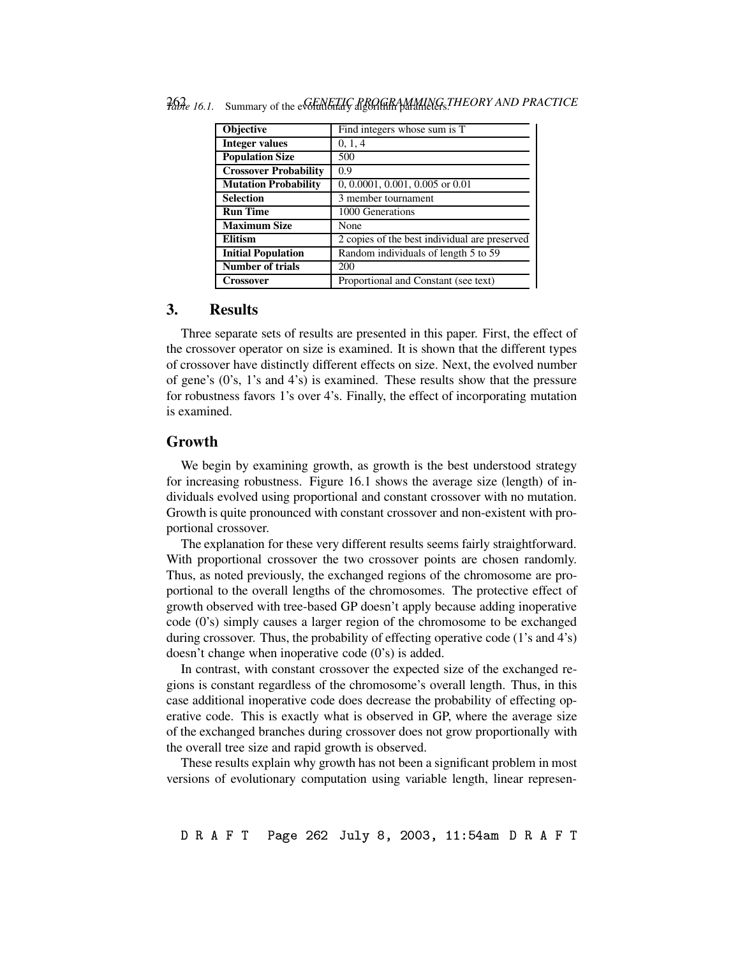| Objective                    | Find integers whose sum is T                  |  |
|------------------------------|-----------------------------------------------|--|
| <b>Integer values</b>        | 0, 1, 4                                       |  |
| <b>Population Size</b>       | 500                                           |  |
| <b>Crossover Probability</b> | 0.9                                           |  |
| <b>Mutation Probability</b>  | $0, 0.0001, 0.001, 0.005$ or $0.01$           |  |
| <b>Selection</b>             | 3 member tournament                           |  |
| <b>Run Time</b>              | 1000 Generations                              |  |
| <b>Maximum Size</b>          | None                                          |  |
| Elitism                      | 2 copies of the best individual are preserved |  |
| <b>Initial Population</b>    | Random individuals of length 5 to 59          |  |
| <b>Number of trials</b>      | 200                                           |  |
| <b>Crossover</b>             | Proportional and Constant (see text)          |  |

262 *GENETIC PROGRAMMING THEORY AND PRACTICE Table 16.1.* Summary of the evolutionary algorithm parameters.

### **3. Results**

Three separate sets of results are presented in this paper. First, the effect of the crossover operator on size is examined. It is shown that the different types of crossover have distinctly different effects on size. Next, the evolved number of gene's (0's, 1's and 4's) is examined. These results show that the pressure for robustness favors 1's over 4's. Finally, the effect of incorporating mutation is examined.

#### **Growth**

We begin by examining growth, as growth is the best understood strategy for increasing robustness. Figure 16.1 shows the average size (length) of individuals evolved using proportional and constant crossover with no mutation. Growth is quite pronounced with constant crossover and non-existent with proportional crossover.

The explanation for these very different results seems fairly straightforward. With proportional crossover the two crossover points are chosen randomly. Thus, as noted previously, the exchanged regions of the chromosome are proportional to the overall lengths of the chromosomes. The protective effect of growth observed with tree-based GP doesn't apply because adding inoperative code (0's) simply causes a larger region of the chromosome to be exchanged during crossover. Thus, the probability of effecting operative code (1's and 4's) doesn't change when inoperative code (0's) is added.

In contrast, with constant crossover the expected size of the exchanged regions is constant regardless of the chromosome's overall length. Thus, in this case additional inoperative code does decrease the probability of effecting operative code. This is exactly what is observed in GP, where the average size of the exchanged branches during crossover does not grow proportionally with the overall tree size and rapid growth is observed.

These results explain why growth has not been a significant problem in most versions of evolutionary computation using variable length, linear represen-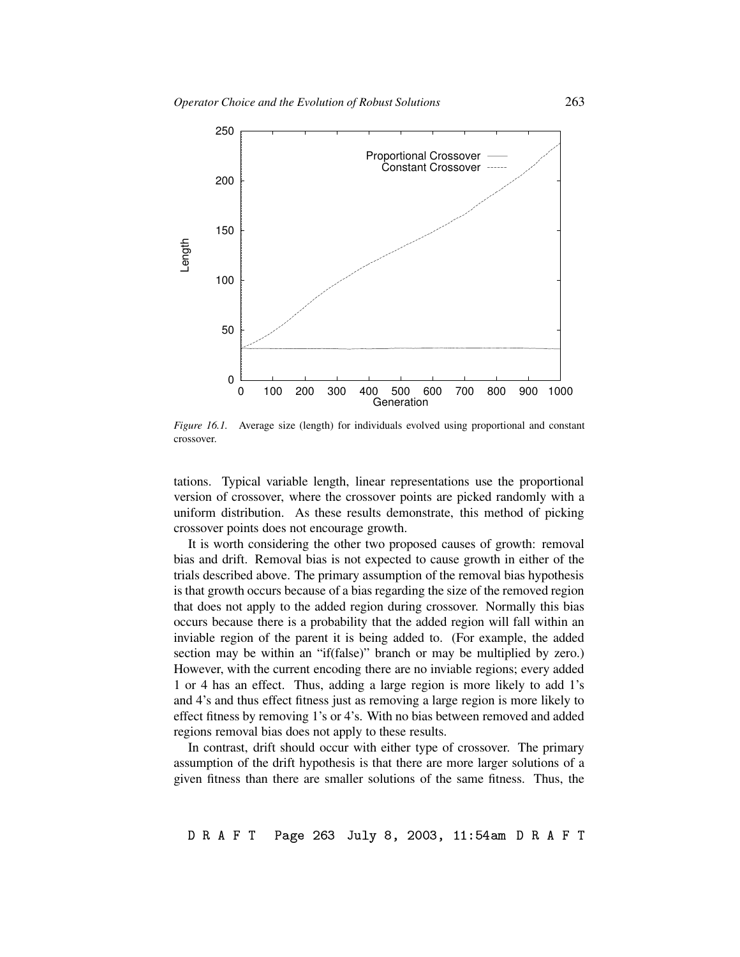

*Figure 16.1.* Average size (length) for individuals evolved using proportional and constant crossover.

tations. Typical variable length, linear representations use the proportional version of crossover, where the crossover points are picked randomly with a uniform distribution. As these results demonstrate, this method of picking crossover points does not encourage growth.

It is worth considering the other two proposed causes of growth: removal bias and drift. Removal bias is not expected to cause growth in either of the trials described above. The primary assumption of the removal bias hypothesis is that growth occurs because of a bias regarding the size of the removed region that does not apply to the added region during crossover. Normally this bias occurs because there is a probability that the added region will fall within an inviable region of the parent it is being added to. (For example, the added section may be within an "if(false)" branch or may be multiplied by zero.) However, with the current encoding there are no inviable regions; every added 1 or 4 has an effect. Thus, adding a large region is more likely to add 1's and 4's and thus effect fitness just as removing a large region is more likely to effect fitness by removing 1's or 4's. With no bias between removed and added regions removal bias does not apply to these results.

In contrast, drift should occur with either type of crossover. The primary assumption of the drift hypothesis is that there are more larger solutions of a given fitness than there are smaller solutions of the same fitness. Thus, the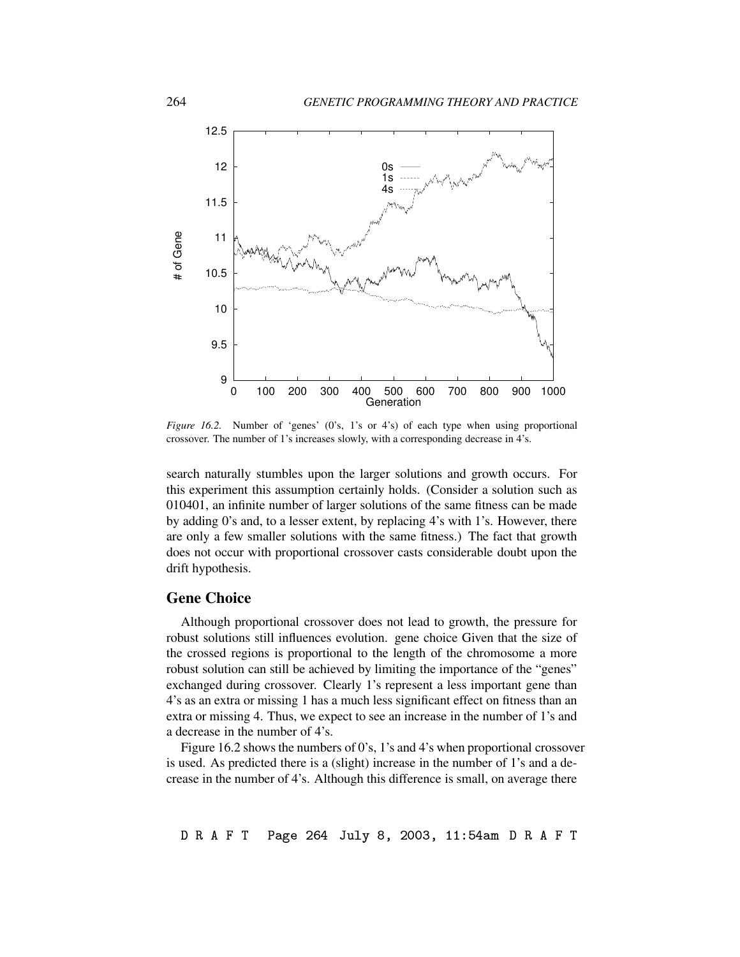

*Figure 16.2.* Number of 'genes' (0's, 1's or 4's) of each type when using proportional crossover. The number of 1's increases slowly, with a corresponding decrease in 4's.

search naturally stumbles upon the larger solutions and growth occurs. For this experiment this assumption certainly holds. (Consider a solution such as 010401, an infinite number of larger solutions of the same fitness can be made by adding 0's and, to a lesser extent, by replacing 4's with 1's. However, there are only a few smaller solutions with the same fitness.) The fact that growth does not occur with proportional crossover casts considerable doubt upon the drift hypothesis.

## **Gene Choice**

Although proportional crossover does not lead to growth, the pressure for robust solutions still influences evolution. gene choice Given that the size of the crossed regions is proportional to the length of the chromosome a more robust solution can still be achieved by limiting the importance of the "genes" exchanged during crossover. Clearly 1's represent a less important gene than 4's as an extra or missing 1 has a much less significant effect on fitness than an extra or missing 4. Thus, we expect to see an increase in the number of 1's and a decrease in the number of 4's.

Figure 16.2 shows the numbers of 0's, 1's and 4's when proportional crossover is used. As predicted there is a (slight) increase in the number of 1's and a decrease in the number of 4's. Although this difference is small, on average there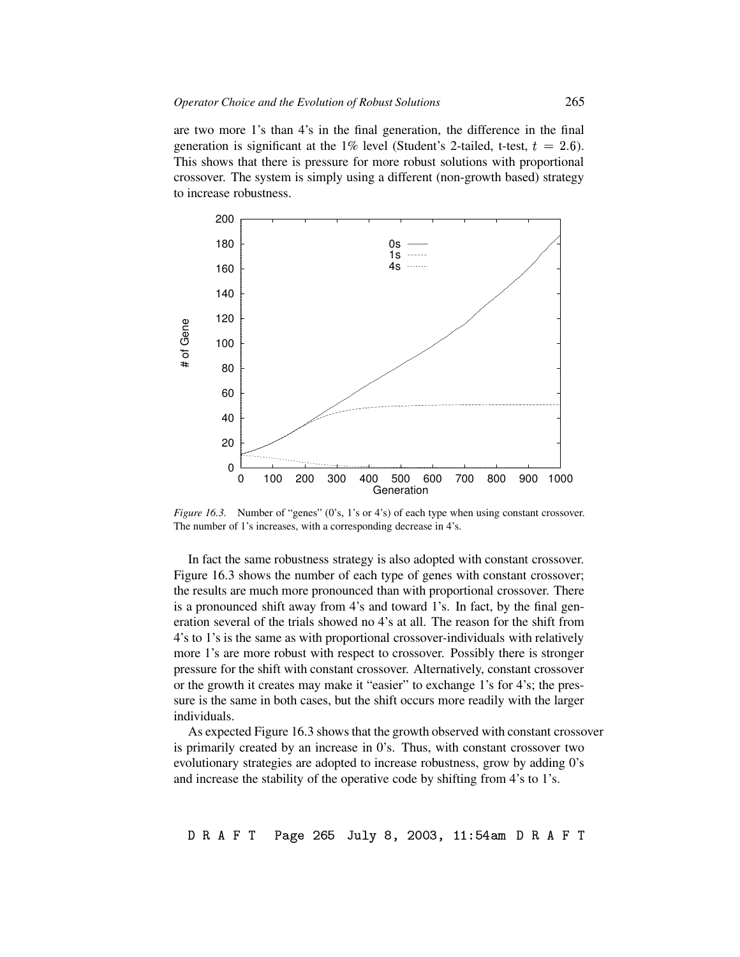are two more 1's than 4's in the final generation, the difference in the final generation is significant at the 1% level (Student's 2-tailed, t-test,  $t = 2.6$ ). This shows that there is pressure for more robust solutions with proportional crossover. The system is simply using a different (non-growth based) strategy to increase robustness.



*Figure* 16.3. Number of "genes" (0's, 1's or 4's) of each type when using constant crossover. The number of 1's increases, with a corresponding decrease in 4's.

In fact the same robustness strategy is also adopted with constant crossover. Figure 16.3 shows the number of each type of genes with constant crossover; the results are much more pronounced than with proportional crossover. There is a pronounced shift away from 4's and toward 1's. In fact, by the final generation several of the trials showed no 4's at all. The reason for the shift from 4's to 1's is the same as with proportional crossover-individuals with relatively more 1's are more robust with respect to crossover. Possibly there is stronger pressure for the shift with constant crossover. Alternatively, constant crossover or the growth it creates may make it "easier" to exchange 1's for 4's; the pressure is the same in both cases, but the shift occurs more readily with the larger individuals.

As expected Figure 16.3 shows that the growth observed with constant crossover is primarily created by an increase in 0's. Thus, with constant crossover two evolutionary strategies are adopted to increase robustness, grow by adding 0's and increase the stability of the operative code by shifting from 4's to 1's.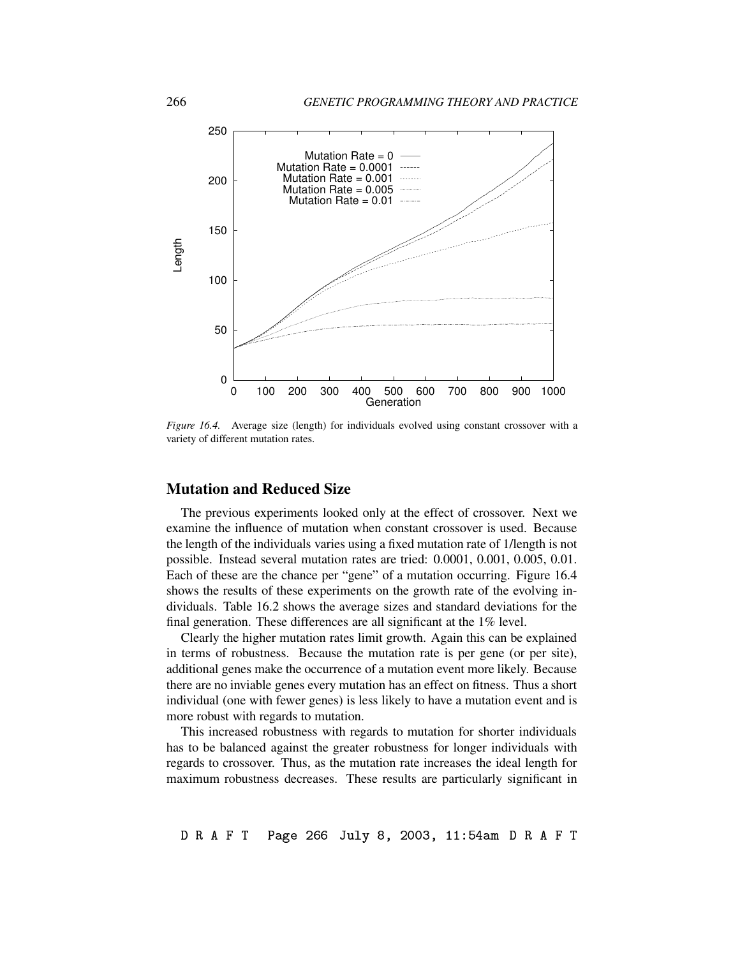

*Figure 16.4.* Average size (length) for individuals evolved using constant crossover with a variety of different mutation rates.

## **Mutation and Reduced Size**

The previous experiments looked only at the effect of crossover. Next we examine the influence of mutation when constant crossover is used. Because the length of the individuals varies using a fixed mutation rate of 1/length is not possible. Instead several mutation rates are tried: 0.0001, 0.001, 0.005, 0.01. Each of these are the chance per "gene" of a mutation occurring. Figure 16.4 shows the results of these experiments on the growth rate of the evolving individuals. Table 16.2 shows the average sizes and standard deviations for the final generation. These differences are all significant at the 1% level.

Clearly the higher mutation rates limit growth. Again this can be explained in terms of robustness. Because the mutation rate is per gene (or per site), additional genes make the occurrence of a mutation event more likely. Because there are no inviable genes every mutation has an effect on fitness. Thus a short individual (one with fewer genes) is less likely to have a mutation event and is more robust with regards to mutation.

This increased robustness with regards to mutation for shorter individuals has to be balanced against the greater robustness for longer individuals with regards to crossover. Thus, as the mutation rate increases the ideal length for maximum robustness decreases. These results are particularly significant in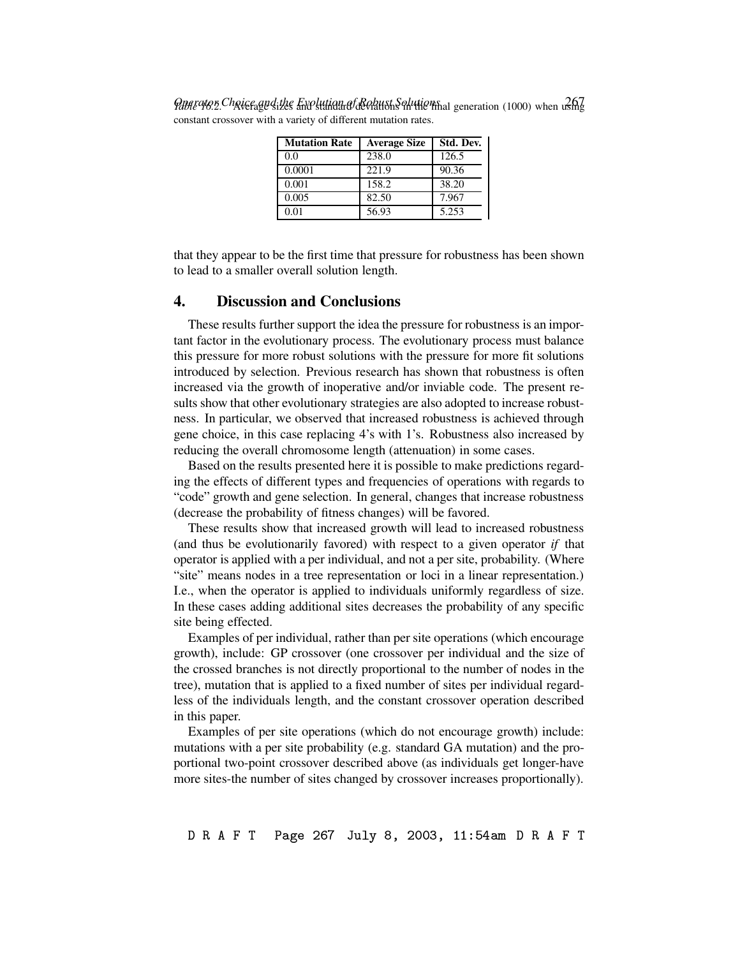| <b>Mutation Rate</b> | <b>Average Size</b> | Std. Dev. |
|----------------------|---------------------|-----------|
| 0.0                  | 238.0               | 126.5     |
| 0.0001               | 221.9               | 90.36     |
| 0.001                | 158.2               | 38.20     |
| 0.005                | 82.50               | 7.967     |
| 0.01                 | 56.93               | 5.253     |

*Operator Choice and the Evolution of Robust Solutions* 267 *Table 16.2.* Average sizes and standard deviations in the final generation (1000) when using constant crossover with a variety of different mutation rates.

that they appear to be the first time that pressure for robustness has been shown to lead to a smaller overall solution length.

## **4. Discussion and Conclusions**

These results further support the idea the pressure for robustness is an important factor in the evolutionary process. The evolutionary process must balance this pressure for more robust solutions with the pressure for more fit solutions introduced by selection. Previous research has shown that robustness is often increased via the growth of inoperative and/or inviable code. The present results show that other evolutionary strategies are also adopted to increase robustness. In particular, we observed that increased robustness is achieved through gene choice, in this case replacing 4's with 1's. Robustness also increased by reducing the overall chromosome length (attenuation) in some cases.

Based on the results presented here it is possible to make predictions regarding the effects of different types and frequencies of operations with regards to "code" growth and gene selection. In general, changes that increase robustness (decrease the probability of fitness changes) will be favored.

These results show that increased growth will lead to increased robustness (and thus be evolutionarily favored) with respect to a given operator *if* that operator is applied with a per individual, and not a per site, probability. (Where "site" means nodes in a tree representation or loci in a linear representation.) I.e., when the operator is applied to individuals uniformly regardless of size. In these cases adding additional sites decreases the probability of any specific site being effected.

Examples of per individual, rather than per site operations (which encourage growth), include: GP crossover (one crossover per individual and the size of the crossed branches is not directly proportional to the number of nodes in the tree), mutation that is applied to a fixed number of sites per individual regardless of the individuals length, and the constant crossover operation described in this paper.

Examples of per site operations (which do not encourage growth) include: mutations with a per site probability (e.g. standard GA mutation) and the proportional two-point crossover described above (as individuals get longer-have more sites-the number of sites changed by crossover increases proportionally).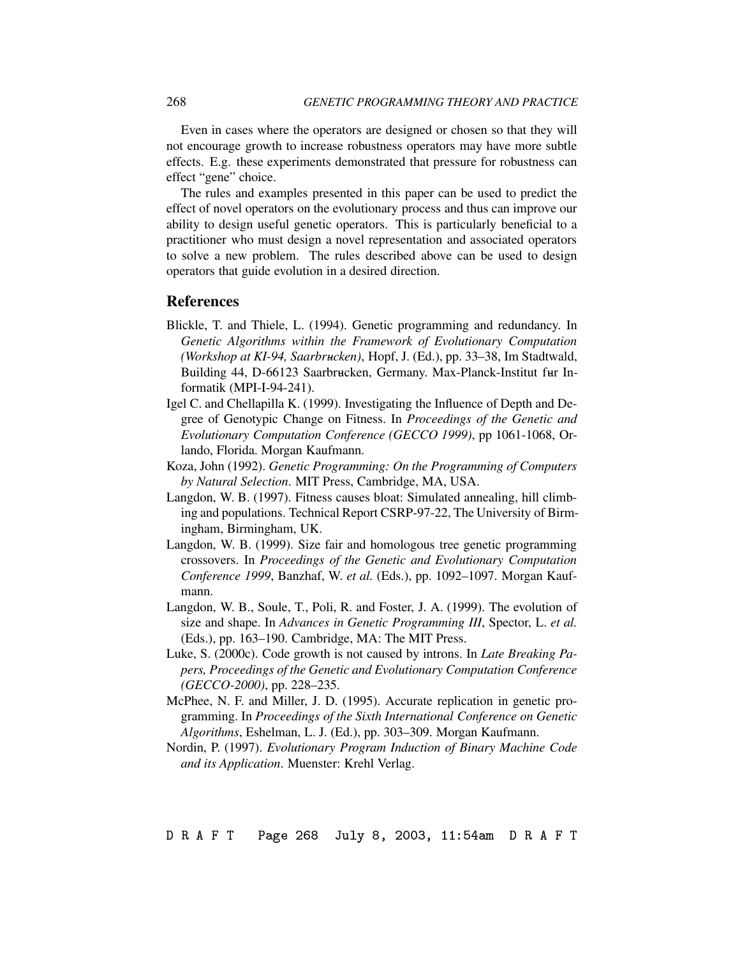Even in cases where the operators are designed or chosen so that they will not encourage growth to increase robustness operators may have more subtle effects. E.g. these experiments demonstrated that pressure for robustness can effect "gene" choice.

The rules and examples presented in this paper can be used to predict the effect of novel operators on the evolutionary process and thus can improve our ability to design useful genetic operators. This is particularly beneficial to a practitioner who must design a novel representation and associated operators to solve a new problem. The rules described above can be used to design operators that guide evolution in a desired direction.

## **References**

- Blickle, T. and Thiele, L. (1994). Genetic programming and redundancy. In *Genetic Algorithms within the Framework of Evolutionary Computation (Workshop at KI-94, Saarbrucken), Hopf, J. (Ed.), pp. 33–38, Im Stadtwald,* Building 44, D-66123 Saarbrucken, Germany. Max-Planck-Institut fur Informatik (MPI-I-94-241).
- Igel C. and Chellapilla K. (1999). Investigating the Influence of Depth and Degree of Genotypic Change on Fitness. In *Proceedings of the Genetic and Evolutionary Computation Conference (GECCO 1999)*, pp 1061-1068, Orlando, Florida. Morgan Kaufmann.
- Koza, John (1992). *Genetic Programming: On the Programming of Computers by Natural Selection*. MIT Press, Cambridge, MA, USA.
- Langdon, W. B. (1997). Fitness causes bloat: Simulated annealing, hill climbing and populations. Technical Report CSRP-97-22, The University of Birmingham, Birmingham, UK.
- Langdon, W. B. (1999). Size fair and homologous tree genetic programming crossovers. In *Proceedings of the Genetic and Evolutionary Computation Conference 1999*, Banzhaf, W. *et al.* (Eds.), pp. 1092–1097. Morgan Kaufmann.
- Langdon, W. B., Soule, T., Poli, R. and Foster, J. A. (1999). The evolution of size and shape. In *Advances in Genetic Programming III*, Spector, L. *et al.* (Eds.), pp. 163–190. Cambridge, MA: The MIT Press.
- Luke, S. (2000c). Code growth is not caused by introns. In *Late Breaking Papers, Proceedings of the Genetic and Evolutionary Computation Conference (GECCO-2000)*, pp. 228–235.
- McPhee, N. F. and Miller, J. D. (1995). Accurate replication in genetic programming. In *Proceedings of the Sixth International Conference on Genetic Algorithms*, Eshelman, L. J. (Ed.), pp. 303–309. Morgan Kaufmann.
- Nordin, P. (1997). *Evolutionary Program Induction of Binary Machine Code and its Application*. Muenster: Krehl Verlag.